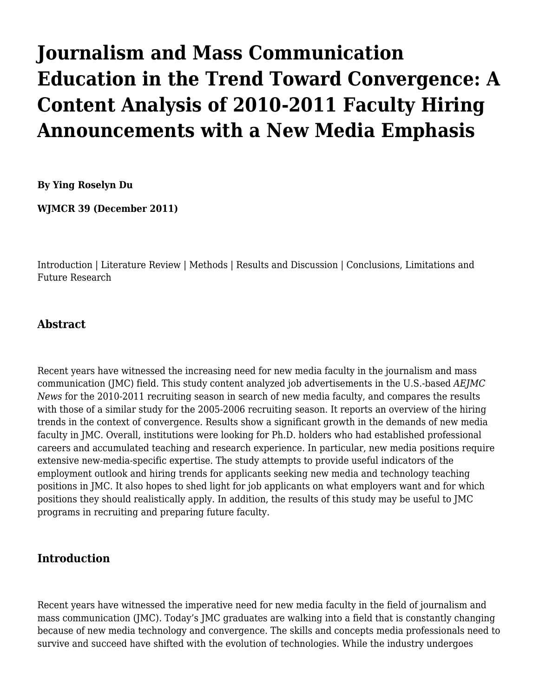# **[Journalism and Mass Communication](http://wjmcr.info/2011/12/01/journalism-and-mass-communication-education-in-the-trend-toward-convergence-a-content-analysis-of-2010-2011-faculty-hiring-announcements-with-a-new-media-emphasis/) [Education in the Trend Toward Convergence: A](http://wjmcr.info/2011/12/01/journalism-and-mass-communication-education-in-the-trend-toward-convergence-a-content-analysis-of-2010-2011-faculty-hiring-announcements-with-a-new-media-emphasis/) [Content Analysis of 2010-2011 Faculty Hiring](http://wjmcr.info/2011/12/01/journalism-and-mass-communication-education-in-the-trend-toward-convergence-a-content-analysis-of-2010-2011-faculty-hiring-announcements-with-a-new-media-emphasis/) [Announcements with a New Media Emphasis](http://wjmcr.info/2011/12/01/journalism-and-mass-communication-education-in-the-trend-toward-convergence-a-content-analysis-of-2010-2011-faculty-hiring-announcements-with-a-new-media-emphasis/)**

**[By Ying Roselyn Du](https://catmailohio-my.sharepoint.com/personal/meyerh_ohio_edu/_layouts/15/onedrive.aspx?ct=1563391744384&or=OWA%2DNT&cid=feee2bfd%2D0192%2D43df%2Daa3a%2D72ad2d029b2e&FolderCTID=0x0120005A197611EB7FF6458080F80BCB589642&id=%2Fpersonal%2Fmeyerh%5Fohio%5Fedu%2FDocuments%2FWJMCR%2F39%2Ehtml&parent=%2Fpersonal%2Fmeyerh%5Fohio%5Fedu%2FDocuments%2FWJMCR#author)**

**[WJMCR](http://wjmcr.info/) 39 (December 2011)**

[Introduction](#page--1-0) | [Literature Review | Methods](#page--1-0) | [Results and Discussion](#page--1-0) | [Conclusions, Limitations and](#page--1-0) [Future Research](#page--1-0)

#### **Abstract**

Recent years have witnessed the increasing need for new media faculty in the journalism and mass communication (JMC) field. This study content analyzed job advertisements in the U.S.-based *AEJMC News* for the 2010-2011 recruiting season in search of new media faculty, and compares the results with those of a similar study for the 2005-2006 recruiting season. It reports an overview of the hiring trends in the context of convergence. Results show a significant growth in the demands of new media faculty in JMC. Overall, institutions were looking for Ph.D. holders who had established professional careers and accumulated teaching and research experience. In particular, new media positions require extensive new-media-specific expertise. The study attempts to provide useful indicators of the employment outlook and hiring trends for applicants seeking new media and technology teaching positions in JMC. It also hopes to shed light for job applicants on what employers want and for which positions they should realistically apply. In addition, the results of this study may be useful to JMC programs in recruiting and preparing future faculty.

#### **Introduction**

Recent years have witnessed the imperative need for new media faculty in the field of journalism and mass communication (JMC). Today's JMC graduates are walking into a field that is constantly changing because of new media technology and convergence. The skills and concepts media professionals need to survive and succeed have shifted with the evolution of technologies. While the industry undergoes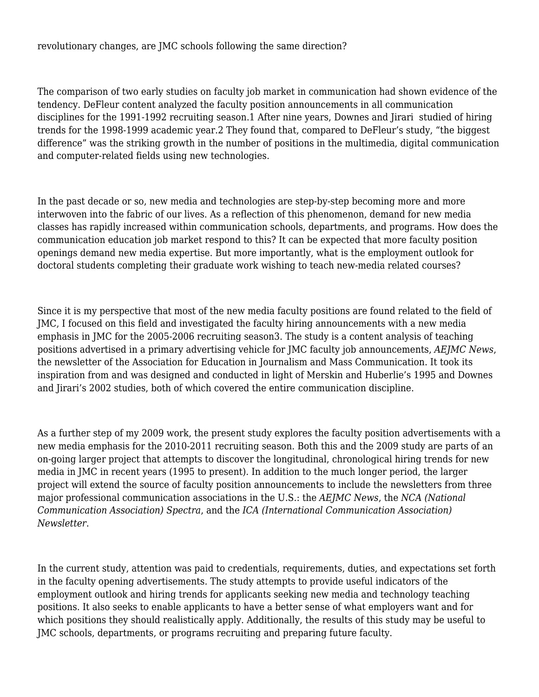#### revolutionary changes, are JMC schools following the same direction?

The comparison of two early studies on faculty job market in communication had shown evidence of the tendency. DeFleur content analyzed the faculty position announcements in all communication disciplines for the 1991-1992 recruiting season[.1](#page--1-0) After nine years, Downes and Jirari studied of hiring trends for the 1998-1999 academic year.[2](#page--1-0) They found that, compared to DeFleur's study, "the biggest difference" was the striking growth in the number of positions in the multimedia, digital communication and computer-related fields using new technologies.

In the past decade or so, new media and technologies are step-by-step becoming more and more interwoven into the fabric of our lives. As a reflection of this phenomenon, demand for new media classes has rapidly increased within communication schools, departments, and programs. How does the communication education job market respond to this? It can be expected that more faculty position openings demand new media expertise. But more importantly, what is the employment outlook for doctoral students completing their graduate work wishing to teach new-media related courses?

Since it is my perspective that most of the new media faculty positions are found related to the field of JMC, I focused on this field and investigated the faculty hiring announcements with a new media emphasis in JMC for the 2005-2006 recruiting season[3.](#page--1-0) The study is a content analysis of teaching positions advertised in a primary advertising vehicle for JMC faculty job announcements, *AEJMC News*, the newsletter of the Association for Education in Journalism and Mass Communication. It took its inspiration from and was designed and conducted in light of Merskin and Huberlie's 1995 and Downes and Jirari's 2002 studies, both of which covered the entire communication discipline.

As a further step of my 2009 work, the present study explores the faculty position advertisements with a new media emphasis for the 2010-2011 recruiting season. Both this and the 2009 study are parts of an on-going larger project that attempts to discover the longitudinal, chronological hiring trends for new media in JMC in recent years (1995 to present). In addition to the much longer period, the larger project will extend the source of faculty position announcements to include the newsletters from three major professional communication associations in the U.S.: the *AEJMC News*, the *NCA (National Communication Association) Spectra*, and the *ICA (International Communication Association) Newsletter*.

In the current study, attention was paid to credentials, requirements, duties, and expectations set forth in the faculty opening advertisements. The study attempts to provide useful indicators of the employment outlook and hiring trends for applicants seeking new media and technology teaching positions. It also seeks to enable applicants to have a better sense of what employers want and for which positions they should realistically apply. Additionally, the results of this study may be useful to JMC schools, departments, or programs recruiting and preparing future faculty.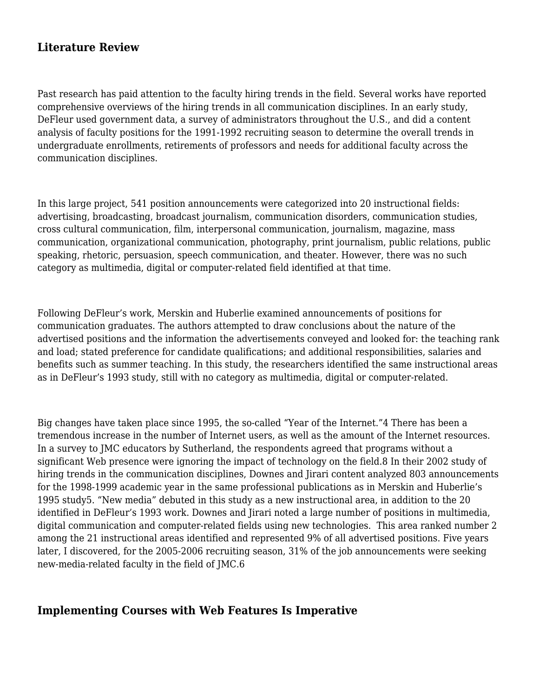# **Literature Review**

Past research has paid attention to the faculty hiring trends in the field. Several works have reported comprehensive overviews of the hiring trends in all communication disciplines. In an early study, DeFleur used government data, a survey of administrators throughout the U.S., and did a content analysis of faculty positions for the 1991-1992 recruiting season to determine the overall trends in undergraduate enrollments, retirements of professors and needs for additional faculty across the communication disciplines.

In this large project, 541 position announcements were categorized into 20 instructional fields: advertising, broadcasting, broadcast journalism, communication disorders, communication studies, cross cultural communication, film, interpersonal communication, journalism, magazine, mass communication, organizational communication, photography, print journalism, public relations, public speaking, rhetoric, persuasion, speech communication, and theater. However, there was no such category as multimedia, digital or computer-related field identified at that time.

Following DeFleur's work, Merskin and Huberlie examined announcements of positions for communication graduates. The authors attempted to draw conclusions about the nature of the advertised positions and the information the advertisements conveyed and looked for: the teaching rank and load; stated preference for candidate qualifications; and additional responsibilities, salaries and benefits such as summer teaching. In this study, the researchers identified the same instructional areas as in DeFleur's 1993 study, still with no category as multimedia, digital or computer-related.

Big changes have taken place since 1995, the so-called "Year of the Internet.["4](#page--1-0) There has been a tremendous increase in the number of Internet users, as well as the amount of the Internet resources. In a survey to JMC educators by Sutherland, the respondents agreed that programs without a significant Web presence were ignoring the impact of technology on the field.8 In their 2002 study of hiring trends in the communication disciplines, Downes and Jirari content analyzed 803 announcements for the 1998-1999 academic year in the same professional publications as in Merskin and Huberlie's 1995 stud[y5](#page--1-0). "New media" debuted in this study as a new instructional area, in addition to the 20 identified in DeFleur's 1993 work. Downes and Jirari noted a large number of positions in multimedia, digital communication and computer-related fields using new technologies. This area ranked number 2 among the 21 instructional areas identified and represented 9% of all advertised positions. Five years later, I discovered, for the 2005-2006 recruiting season, 31% of the job announcements were seeking new-media-related faculty in the field of JMC.[6](#page--1-0)

#### **Implementing Courses with Web Features Is Imperative**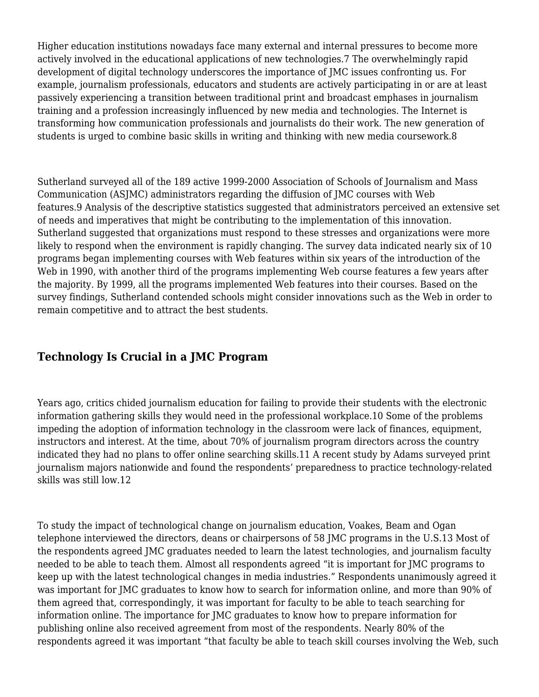Higher education institutions nowadays face many external and internal pressures to become more actively involved in the educational applications of new technologies.[7](#page--1-0) The overwhelmingly rapid development of digital technology underscores the importance of JMC issues confronting us. For example, journalism professionals, educators and students are actively participating in or are at least passively experiencing a transition between traditional print and broadcast emphases in journalism training and a profession increasingly influenced by new media and technologies. The Internet is transforming how communication professionals and journalists do their work. The new generation of students is urged to combine basic skills in writing and thinking with new media coursework[.8](#page--1-0)

Sutherland surveyed all of the 189 active 1999-2000 Association of Schools of Journalism and Mass Communication (ASJMC) administrators regarding the diffusion of JMC courses with Web features[.9](#page--1-0) Analysis of the descriptive statistics suggested that administrators perceived an extensive set of needs and imperatives that might be contributing to the implementation of this innovation. Sutherland suggested that organizations must respond to these stresses and organizations were more likely to respond when the environment is rapidly changing. The survey data indicated nearly six of 10 programs began implementing courses with Web features within six years of the introduction of the Web in 1990, with another third of the programs implementing Web course features a few years after the majority. By 1999, all the programs implemented Web features into their courses. Based on the survey findings, Sutherland contended schools might consider innovations such as the Web in order to remain competitive and to attract the best students.

# **Technology Is Crucial in a JMC Program**

Years ago, critics chided journalism education for failing to provide their students with the electronic information gathering skills they would need in the professional workplace.[10 S](#page--1-0)ome of the problems impeding the adoption of information technology in the classroom were lack of finances, equipment, instructors and interest. At the time, about 70% of journalism program directors across the country indicated they had no plans to offer online searching skills.[11 A](#page--1-0) recent study by Adams surveyed print journalism majors nationwide and found the respondents' preparedness to practice technology-related skills was still low[.12](#page--1-0)

To study the impact of technological change on journalism education, Voakes, Beam and Ogan telephone interviewed the directors, deans or chairpersons of 58 JMC programs in the U.S[.13](#page--1-0) Most of the respondents agreed JMC graduates needed to learn the latest technologies, and journalism faculty needed to be able to teach them. Almost all respondents agreed "it is important for JMC programs to keep up with the latest technological changes in media industries." Respondents unanimously agreed it was important for JMC graduates to know how to search for information online, and more than 90% of them agreed that, correspondingly, it was important for faculty to be able to teach searching for information online. The importance for JMC graduates to know how to prepare information for publishing online also received agreement from most of the respondents. Nearly 80% of the respondents agreed it was important "that faculty be able to teach skill courses involving the Web, such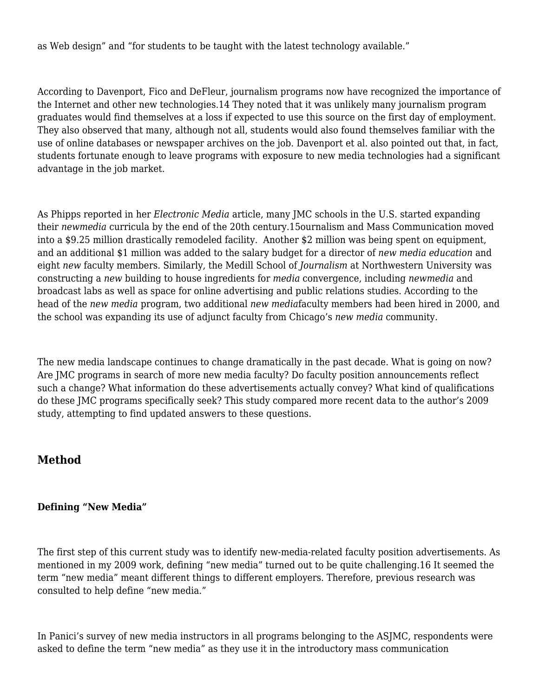as Web design" and "for students to be taught with the latest technology available."

According to Davenport, Fico and DeFleur, journalism programs now have recognized the importance of the Internet and other new technologies[.14](#page--1-0) They noted that it was unlikely many journalism program graduates would find themselves at a loss if expected to use this source on the first day of employment. They also observed that many, although not all, students would also found themselves familiar with the use of online databases or newspaper archives on the job. Davenport et al. also pointed out that, in fact, students fortunate enough to leave programs with exposure to new media technologies had a significant advantage in the job market.

As Phipps reported in her *Electronic Media* article, many JMC schools in the U.S. started expanding their *newmedia* curricula by the end of the 20th century.[15](#page--1-0)ournalism and Mass Communication moved into a \$9.25 million drastically remodeled facility. Another \$2 million was being spent on equipment, and an additional \$1 million was added to the salary budget for a director of *new media education* and eight *new* faculty members. Similarly, the Medill School of *Journalism* at Northwestern University was constructing a *new* building to house ingredients for *media* convergence, including *newmedia* and broadcast labs as well as space for online advertising and public relations studies. According to the head of the *new media* program, two additional *new media*faculty members had been hired in 2000, and the school was expanding its use of adjunct faculty from Chicago's *new media* community.

The new media landscape continues to change dramatically in the past decade. What is going on now? Are JMC programs in search of more new media faculty? Do faculty position announcements reflect such a change? What information do these advertisements actually convey? What kind of qualifications do these JMC programs specifically seek? This study compared more recent data to the author's 2009 study, attempting to find updated answers to these questions.

#### **Method**

#### **Defining "New Media"**

The first step of this current study was to identify new-media-related faculty position advertisements. As mentioned in my 2009 work, defining "new media" turned out to be quite challenging.[16](#page--1-0) It seemed the term "new media" meant different things to different employers. Therefore, previous research was consulted to help define "new media."

In Panici's survey of new media instructors in all programs belonging to the ASJMC, respondents were asked to define the term "new media" as they use it in the introductory mass communication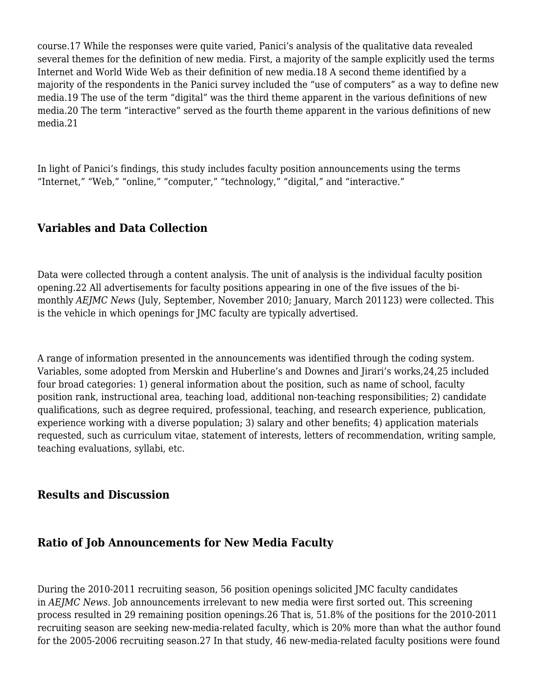course[.17](#page--1-0) While the responses were quite varied, Panici's analysis of the qualitative data revealed several themes for the definition of new media. First, a majority of the sample explicitly used the terms Internet and World Wide Web as their definition of new media[.18](#page--1-0) A second theme identified by a majority of the respondents in the Panici survey included the "use of computers" as a way to define new media[.19](#page--1-0) The use of the term "digital" was the third theme apparent in the various definitions of new media[.20](#page--1-0) The term "interactive" served as the fourth theme apparent in the various definitions of new media[.21](#page--1-0)

In light of Panici's findings, this study includes faculty position announcements using the terms "Internet," "Web," "online," "computer," "technology," "digital," and "interactive."

# **Variables and Data Collection**

Data were collected through a content analysis. The unit of analysis is the individual faculty position opening[.22](#page--1-0) All advertisements for faculty positions appearing in one of the five issues of the bimonthly *AEJMC News* (July, September, November 2010; January, March 2011[23](#page--1-0)) were collected. This is the vehicle in which openings for JMC faculty are typically advertised.

A range of information presented in the announcements was identified through the coding system. Variables, some adopted from Merskin and Huberline's and Downes and Jirari's works[,24,25](#page--1-0) included four broad categories: 1) general information about the position, such as name of school, faculty position rank, instructional area, teaching load, additional non-teaching responsibilities; 2) candidate qualifications, such as degree required, professional, teaching, and research experience, publication, experience working with a diverse population; 3) salary and other benefits; 4) application materials requested, such as curriculum vitae, statement of interests, letters of recommendation, writing sample, teaching evaluations, syllabi, etc.

#### **Results and Discussion**

#### **Ratio of Job Announcements for New Media Faculty**

During the 2010-2011 recruiting season, 56 position openings solicited JMC faculty candidates in *AEJMC News*. Job announcements irrelevant to new media were first sorted out. This screening process resulted in 29 remaining position openings[.26](#page--1-0) That is, 51.8% of the positions for the 2010-2011 recruiting season are seeking new-media-related faculty, which is 20% more than what the author found for the 2005-2006 recruiting season.[27](#page--1-0) In that study, 46 new-media-related faculty positions were found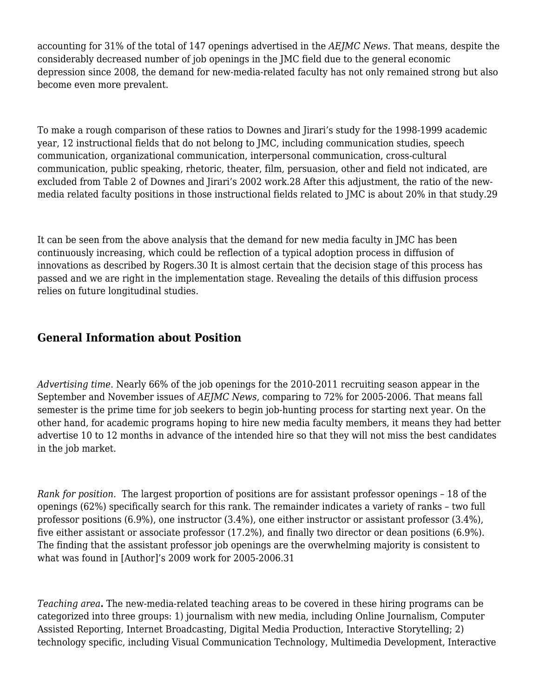accounting for 31% of the total of 147 openings advertised in the *AEJMC News*. That means, despite the considerably decreased number of job openings in the JMC field due to the general economic depression since 2008, the demand for new-media-related faculty has not only remained strong but also become even more prevalent.

To make a rough comparison of these ratios to Downes and Jirari's study for the 1998-1999 academic year, 12 instructional fields that do not belong to JMC, including communication studies, speech communication, organizational communication, interpersonal communication, cross-cultural communication, public speaking, rhetoric, theater, film, persuasion, other and field not indicated, are excluded from Table 2 of Downes and Jirari's 2002 work[.28](#page--1-0) After this adjustment, the ratio of the newmedia related faculty positions in those instructional fields related to JMC is about 20% in that study.[29](#page--1-0)

It can be seen from the above analysis that the demand for new media faculty in JMC has been continuously increasing, which could be reflection of a typical adoption process in diffusion of innovations as described by Rogers.[30](#page--1-0) It is almost certain that the decision stage of this process has passed and we are right in the implementation stage. Revealing the details of this diffusion process relies on future longitudinal studies.

# **General Information about Position**

*Advertising time.* Nearly 66% of the job openings for the 2010-2011 recruiting season appear in the September and November issues of *AEJMC News*, comparing to 72% for 2005-2006. That means fall semester is the prime time for job seekers to begin job-hunting process for starting next year. On the other hand, for academic programs hoping to hire new media faculty members, it means they had better advertise 10 to 12 months in advance of the intended hire so that they will not miss the best candidates in the job market.

*Rank for position.* The largest proportion of positions are for assistant professor openings – 18 of the openings (62%) specifically search for this rank. The remainder indicates a variety of ranks – two full professor positions (6.9%), one instructor (3.4%), one either instructor or assistant professor (3.4%), five either assistant or associate professor (17.2%), and finally two director or dean positions (6.9%). The finding that the assistant professor job openings are the overwhelming majority is consistent to what was found in [Author]'s 2009 work for 2005-2006[.31](#page--1-0)

*Teaching area***.** The new-media-related teaching areas to be covered in these hiring programs can be categorized into three groups: 1) journalism with new media, including Online Journalism, Computer Assisted Reporting, Internet Broadcasting, Digital Media Production, Interactive Storytelling; 2) technology specific, including Visual Communication Technology, Multimedia Development, Interactive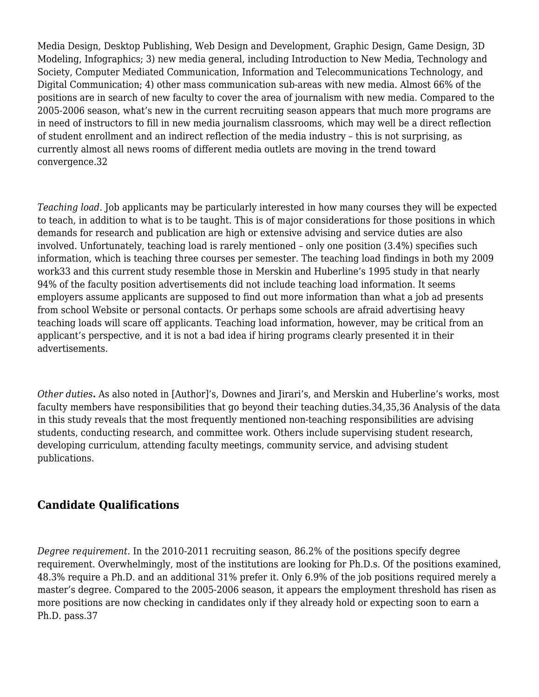Media Design, Desktop Publishing, Web Design and Development, Graphic Design, Game Design, 3D Modeling, Infographics; 3) new media general, including Introduction to New Media, Technology and Society, Computer Mediated Communication, Information and Telecommunications Technology, and Digital Communication; 4) other mass communication sub-areas with new media. Almost 66% of the positions are in search of new faculty to cover the area of journalism with new media. Compared to the 2005-2006 season, what's new in the current recruiting season appears that much more programs are in need of instructors to fill in new media journalism classrooms, which may well be a direct reflection of student enrollment and an indirect reflection of the media industry – this is not surprising, as currently almost all news rooms of different media outlets are moving in the trend toward convergence.[32](#page--1-0)

*Teaching load.* Job applicants may be particularly interested in how many courses they will be expected to teach, in addition to what is to be taught. This is of major considerations for those positions in which demands for research and publication are high or extensive advising and service duties are also involved. Unfortunately, teaching load is rarely mentioned – only one position (3.4%) specifies such information, which is teaching three courses per semester. The teaching load findings in both my 2009 work[33](#page--1-0) and this current study resemble those in Merskin and Huberline's 1995 study in that nearly 94% of the faculty position advertisements did not include teaching load information. It seems employers assume applicants are supposed to find out more information than what a job ad presents from school Website or personal contacts. Or perhaps some schools are afraid advertising heavy teaching loads will scare off applicants. Teaching load information, however, may be critical from an applicant's perspective, and it is not a bad idea if hiring programs clearly presented it in their advertisements.

*Other duties***.** As also noted in [Author]'s, Downes and Jirari's, and Merskin and Huberline's works, most faculty members have responsibilities that go beyond their teaching duties[.34,35,36 A](#page--1-0)nalysis of the data in this study reveals that the most frequently mentioned non-teaching responsibilities are advising students, conducting research, and committee work. Others include supervising student research, developing curriculum, attending faculty meetings, community service, and advising student publications.

# **Candidate Qualifications**

*Degree requirement*. In the 2010-2011 recruiting season, 86.2% of the positions specify degree requirement. Overwhelmingly, most of the institutions are looking for Ph.D.s. Of the positions examined, 48.3% require a Ph.D. and an additional 31% prefer it. Only 6.9% of the job positions required merely a master's degree. Compared to the 2005-2006 season, it appears the employment threshold has risen as more positions are now checking in candidates only if they already hold or expecting soon to earn a Ph.D. pass[.37](#page--1-0)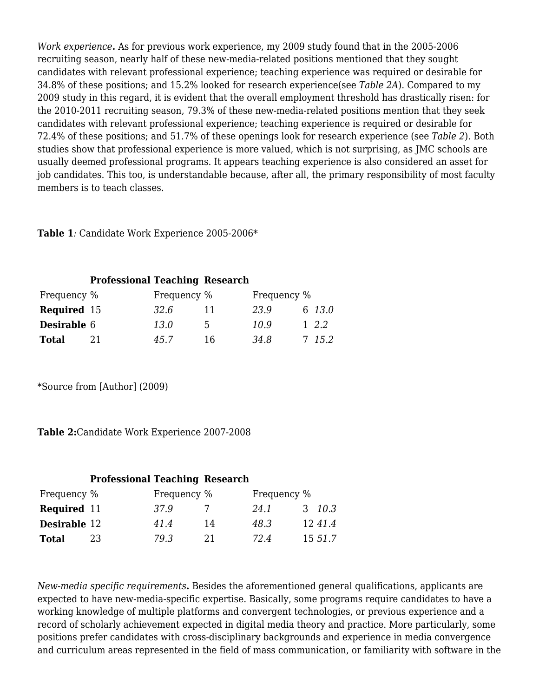*Work experience***.** As for previous work experience, my 2009 study found that in the 2005-2006 recruiting season, nearly half of these new-media-related positions mentioned that they sought candidates with relevant professional experience; teaching experience was required or desirable for 34.8% of these positions; and 15.2% looked for research experience(see *Table 2A*). Compared to my 2009 study in this regard, it is evident that the overall employment threshold has drastically risen: for the 2010-2011 recruiting season, 79.3% of these new-media-related positions mention that they seek candidates with relevant professional experience; teaching experience is required or desirable for 72.4% of these positions; and 51.7% of these openings look for research experience (see *Table 2*). Both studies show that professional experience is more valued, which is not surprising, as JMC schools are usually deemed professional programs. It appears teaching experience is also considered an asset for job candidates. This too, is understandable because, after all, the primary responsibility of most faculty members is to teach classes.

**Table 1***:* Candidate Work Experience 2005-2006\*

|                    | <b>Professional Teaching Research</b> |             |    |             |           |
|--------------------|---------------------------------------|-------------|----|-------------|-----------|
| Frequency %        |                                       | Frequency % |    | Frequency % |           |
| <b>Required</b> 15 |                                       | 32.6        |    | 23.9        | 6 13.0    |
| <b>Desirable 6</b> |                                       | 13.0        | 5  | 10.9        | $1 \t2.2$ |
| <b>Total</b>       | 21                                    | 45.7        | 16 | 34.8        | 7 15.2    |

\*Source from [Author] (2009)

**Table 2:**Candidate Work Experience 2007-2008

#### **Professional Teaching Research**

| Frequency %         |    | Frequency % |    | Frequency % |         |
|---------------------|----|-------------|----|-------------|---------|
| <b>Required</b> 11  |    | 37.9        |    | 24.1        | 3 10.3  |
| <b>Desirable</b> 12 |    | 41.4        | 14 | 48.3        | 1241.4  |
| <b>Total</b>        | 23 | 79.3        | 21 | 72.4        | 15 51.7 |

*New-media specific requirements***.** Besides the aforementioned general qualifications, applicants are expected to have new-media-specific expertise. Basically, some programs require candidates to have a working knowledge of multiple platforms and convergent technologies, or previous experience and a record of scholarly achievement expected in digital media theory and practice. More particularly, some positions prefer candidates with cross-disciplinary backgrounds and experience in media convergence and curriculum areas represented in the field of mass communication, or familiarity with software in the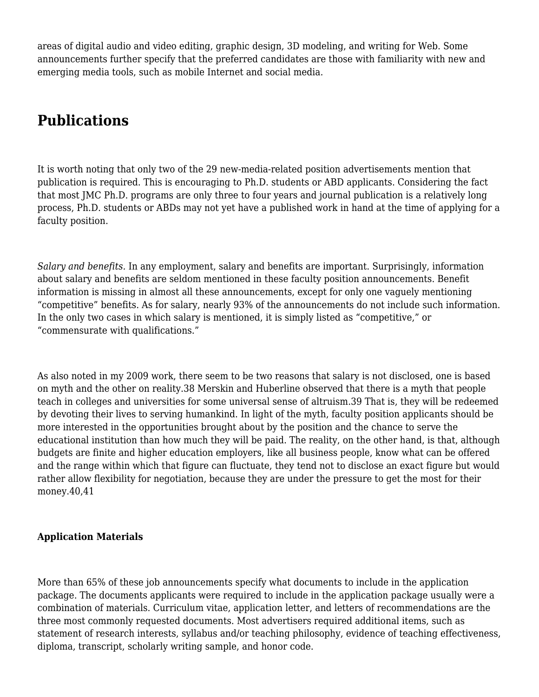areas of digital audio and video editing, graphic design, 3D modeling, and writing for Web. Some announcements further specify that the preferred candidates are those with familiarity with new and emerging media tools, such as mobile Internet and social media.

# **Publications**

It is worth noting that only two of the 29 new-media-related position advertisements mention that publication is required. This is encouraging to Ph.D. students or ABD applicants. Considering the fact that most JMC Ph.D. programs are only three to four years and journal publication is a relatively long process, Ph.D. students or ABDs may not yet have a published work in hand at the time of applying for a faculty position.

*Salary and benefits.* In any employment, salary and benefits are important. Surprisingly, information about salary and benefits are seldom mentioned in these faculty position announcements. Benefit information is missing in almost all these announcements, except for only one vaguely mentioning "competitive" benefits. As for salary, nearly 93% of the announcements do not include such information. In the only two cases in which salary is mentioned, it is simply listed as "competitive," or "commensurate with qualifications."

As also noted in my 2009 work, there seem to be two reasons that salary is not disclosed, one is based on myth and the other on reality.[38](#page--1-0) Merskin and Huberline observed that there is a myth that people teach in colleges and universities for some universal sense of altruism.[39](#page--1-0) That is, they will be redeemed by devoting their lives to serving humankind. In light of the myth, faculty position applicants should be more interested in the opportunities brought about by the position and the chance to serve the educational institution than how much they will be paid. The reality, on the other hand, is that, although budgets are finite and higher education employers, like all business people, know what can be offered and the range within which that figure can fluctuate, they tend not to disclose an exact figure but would rather allow flexibility for negotiation, because they are under the pressure to get the most for their money.[40](#page--1-0),[41](#page--1-0)

#### **Application Materials**

More than 65% of these job announcements specify what documents to include in the application package. The documents applicants were required to include in the application package usually were a combination of materials. Curriculum vitae, application letter, and letters of recommendations are the three most commonly requested documents. Most advertisers required additional items, such as statement of research interests, syllabus and/or teaching philosophy, evidence of teaching effectiveness, diploma, transcript, scholarly writing sample, and honor code.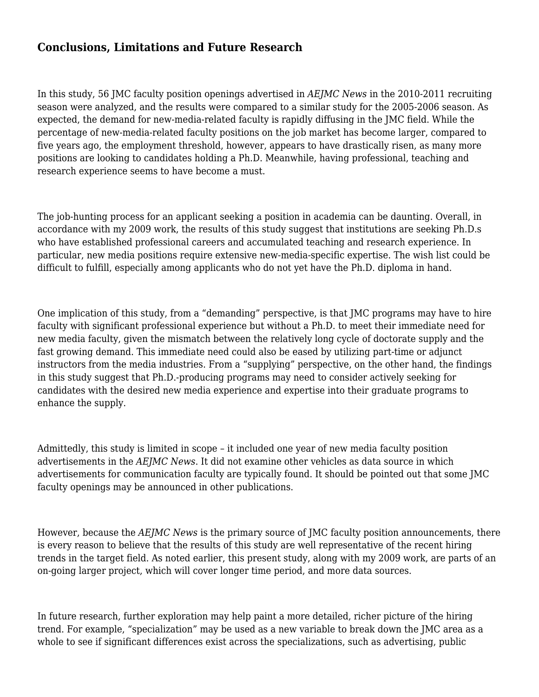# **Conclusions, Limitations and Future Research**

In this study, 56 JMC faculty position openings advertised in *AEJMC News* in the 2010-2011 recruiting season were analyzed, and the results were compared to a similar study for the 2005-2006 season. As expected, the demand for new-media-related faculty is rapidly diffusing in the JMC field. While the percentage of new-media-related faculty positions on the job market has become larger, compared to five years ago, the employment threshold, however, appears to have drastically risen, as many more positions are looking to candidates holding a Ph.D. Meanwhile, having professional, teaching and research experience seems to have become a must.

The job-hunting process for an applicant seeking a position in academia can be daunting. Overall, in accordance with my 2009 work, the results of this study suggest that institutions are seeking Ph.D.s who have established professional careers and accumulated teaching and research experience. In particular, new media positions require extensive new-media-specific expertise. The wish list could be difficult to fulfill, especially among applicants who do not yet have the Ph.D. diploma in hand.

One implication of this study, from a "demanding" perspective, is that JMC programs may have to hire faculty with significant professional experience but without a Ph.D. to meet their immediate need for new media faculty, given the mismatch between the relatively long cycle of doctorate supply and the fast growing demand. This immediate need could also be eased by utilizing part-time or adjunct instructors from the media industries. From a "supplying" perspective, on the other hand, the findings in this study suggest that Ph.D.-producing programs may need to consider actively seeking for candidates with the desired new media experience and expertise into their graduate programs to enhance the supply.

Admittedly, this study is limited in scope – it included one year of new media faculty position advertisements in the *AEJMC News*. It did not examine other vehicles as data source in which advertisements for communication faculty are typically found. It should be pointed out that some JMC faculty openings may be announced in other publications.

However, because the *AEJMC News* is the primary source of JMC faculty position announcements, there is every reason to believe that the results of this study are well representative of the recent hiring trends in the target field. As noted earlier, this present study, along with my 2009 work, are parts of an on-going larger project, which will cover longer time period, and more data sources.

In future research, further exploration may help paint a more detailed, richer picture of the hiring trend. For example, "specialization" may be used as a new variable to break down the JMC area as a whole to see if significant differences exist across the specializations, such as advertising, public